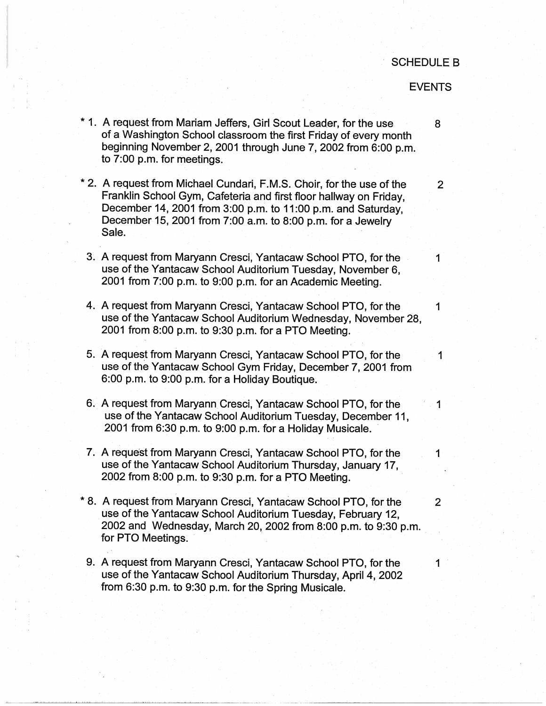## SCHEDULE B

## EVENTS

\* 1. A request from Mariam Jeffers, Girl Scout Leader, for the use 8 of a Washington School classroom the first Friday of every month beginning November 2, 2001 through June 7, 2002 from 6:00 p.m. to 7:00 p.m. for meetings. \* 2. A request from Michael Cundari, F.M.S. Choir, for the use of the 2 Franklin School Gym, Cafeteria and first floor hallway on Friday, December 14, 2001 from 3:00 p.m. to 11 :00 p.m. and Saturday, December 15, 2001 from 7:00 a.m. to 8:00 p.m. for a Jewelry Sale. 3. A request from Maryann Cresci, Yantacaw School PTO, for the 1 use of the Yantacaw School Auditorium Tuesday, November 6, 2001 from 7:00 p.m. to 9:00 p.m. for an Academic Meeting. 4. A request from Maryann Cresci, Yantacaw School PTO, for the 1 use of the Yantacaw School Auditorium Wednesday, November 28, 2001 from 8:00 p.m. to 9:30 p.m. for a PTO Meeting. 5. A request from Maryann Cresci, Yantacaw School PTO, for the 1 use of the Yantacaw School Gym Friday, December 7, 2001 from 6:00 p.m. to 9:00 p.m. for a Holiday Boutique. 6. A request from Maryann Cresci, Yantacaw School PTO, for the use of the Yantacaw School Auditorium Tuesday, December 11, 2001 from  $6:30$  p.m. to  $9:00$  p.m. for a Holiday Musicale. 7. A request from Maryann Cresci, Yantacaw School PTO, for the 1 use of the Yantacaw School Auditorium Thursday, January 17, 2002 from 8:00 p.m. to 9:30 p.m. for a PTO Meeting. \* 8. A request from Maryann Cresci, Yantacaw School PTO, for the 2 use of the Yantacaw School Auditorium Tuesday, February 12, 2002 and Wednesday, March 20, 2002 from 8:00 p.m. to 9:30 p.m. \_ for PTO Meetings. 9. A request from Maryann Cresci, Yantacaw School PTO, for the 1 use of the Yantacaw School Auditorium Thursday, April 4, 2002 from 6:30 p.m. to 9:30 p.m. for the Spring Musicale.

----------------------'----------------